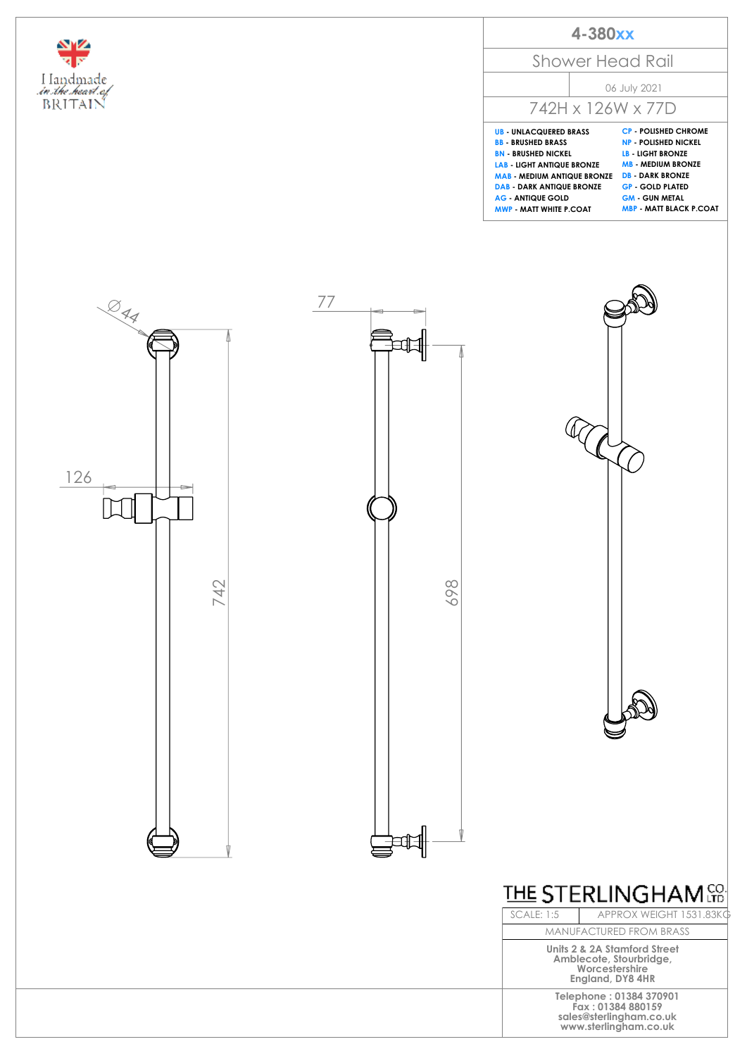